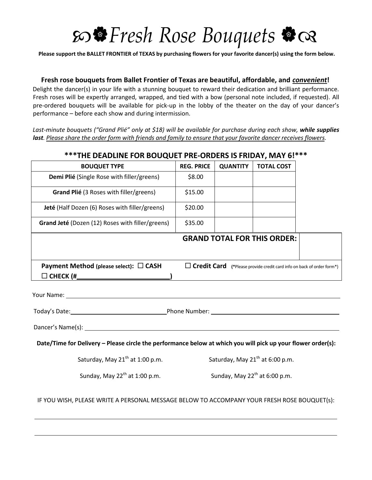## *Fresh Rose Bouquets*

Please support the BALLET FRONTIER of TEXAS by purchasing flowers for your favorite dancer(s) using the form below.

## **Fresh rose bouquets from Ballet Frontier of Texas are beautiful, affordable, and** *convenient***!**

Delight the dancer(s) in your life with a stunning bouquet to reward their dedication and brilliant performance. Fresh roses will be expertly arranged, wrapped, and tied with a bow (personal note included, if requested). All pre-ordered bouquets will be available for pick-up in the lobby of the theater on the day of your dancer's performance – before each show and during intermission.

*Last-minute bouquets ("Grand Plié" only at \$18) will be available for purchase during each show, while supplies* last. Please share the order form with friends and family to ensure that your favorite dancer receives flowers.

| $\mathbb{R}^n$ THE DEADLINE FOR BOUQUET PRE-ORDERS IS FRIDAY, MAY 6!"                                                                                                                                                               |                                           |                 |                                    |                                                                              |
|-------------------------------------------------------------------------------------------------------------------------------------------------------------------------------------------------------------------------------------|-------------------------------------------|-----------------|------------------------------------|------------------------------------------------------------------------------|
| <b>BOUQUET TYPE</b>                                                                                                                                                                                                                 | <b>REG. PRICE</b>                         | <b>QUANTITY</b> | <b>TOTAL COST</b>                  |                                                                              |
| Demi Plié (Single Rose with filler/greens)                                                                                                                                                                                          | \$8.00                                    |                 |                                    |                                                                              |
| Grand Plié (3 Roses with filler/greens)                                                                                                                                                                                             | \$15.00                                   |                 |                                    |                                                                              |
| Jeté (Half Dozen (6) Roses with filler/greens)                                                                                                                                                                                      | \$20.00                                   |                 |                                    |                                                                              |
| Grand Jeté (Dozen (12) Roses with filler/greens)                                                                                                                                                                                    | \$35.00                                   |                 |                                    |                                                                              |
|                                                                                                                                                                                                                                     |                                           |                 | <b>GRAND TOTAL FOR THIS ORDER:</b> |                                                                              |
| Payment Method (please select): □ CASH                                                                                                                                                                                              |                                           |                 |                                    | $\Box$ Credit Card (*Please provide credit card info on back of order form*) |
|                                                                                                                                                                                                                                     |                                           |                 |                                    |                                                                              |
|                                                                                                                                                                                                                                     |                                           |                 |                                    |                                                                              |
| <b>Your Name:</b> The Communication of the Communication of the Communication of the Communication of the Communication of the Communication of the Communication of the Communication of the Communication of the Communication of |                                           |                 |                                    |                                                                              |
| Today's Date: 1980 Contact Contact Phone Number: 2008 Contact Contact Contact Contact Phone Number:                                                                                                                                 |                                           |                 |                                    |                                                                              |
|                                                                                                                                                                                                                                     |                                           |                 |                                    |                                                                              |
| Date/Time for Delivery - Please circle the performance below at which you will pick up your flower order(s):                                                                                                                        |                                           |                 |                                    |                                                                              |
| Saturday, May 21 <sup>th</sup> at 1:00 p.m.<br>Saturday, May 21 <sup>th</sup> at 6:00 p.m.                                                                                                                                          |                                           |                 |                                    |                                                                              |
| Sunday, May 22 <sup>th</sup> at 1:00 p.m.                                                                                                                                                                                           | Sunday, May 22 <sup>th</sup> at 6:00 p.m. |                 |                                    |                                                                              |
| IF YOU WISH, PLEASE WRITE A PERSONAL MESSAGE BELOW TO ACCOMPANY YOUR FRESH ROSE BOUQUET(s):                                                                                                                                         |                                           |                 |                                    |                                                                              |

## **\*\*\*THE DEADLINE FOR BOUQUET PRE-ORDERS IS FRIDAY, MAY 6!\*\*\***